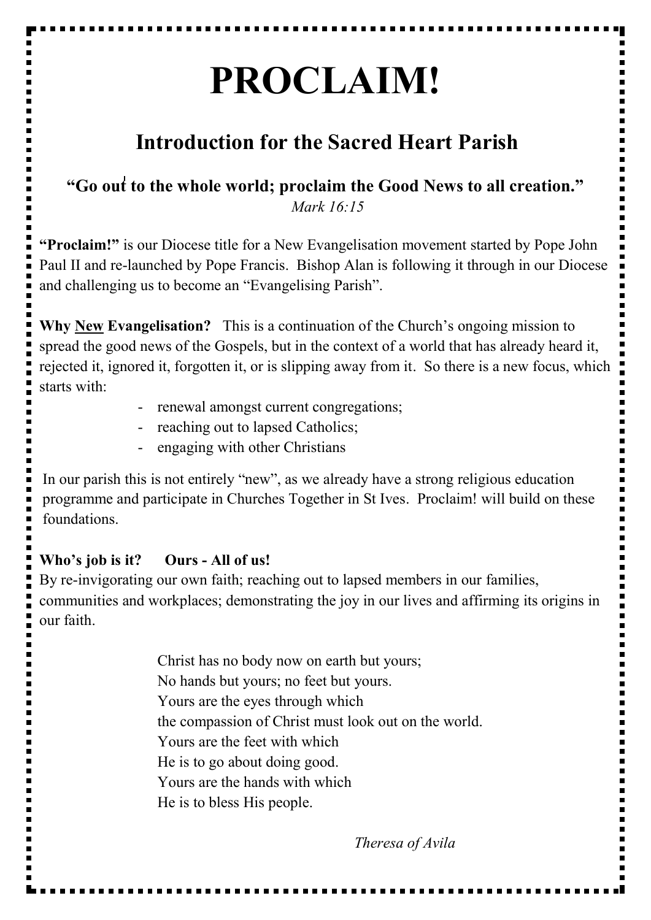# **PROCLAIM!**

## **Introduction for the Sacred Heart Parish**

**"Go out to the whole world; proclaim the Good News to all creation."** *Mark 16:15*

**"Proclaim!"** is our Diocese title for a New Evangelisation movement started by Pope John Paul II and re-launched by Pope Francis. Bishop Alan is following it through in our Diocese and challenging us to become an "Evangelising Parish".

**Why New Evangelisation?** This is a continuation of the Church's ongoing mission to spread the good news of the Gospels, but in the context of a world that has already heard it, rejected it, ignored it, forgotten it, or is slipping away from it. So there is a new focus, which starts with:

- renewal amongst current congregations;
- reaching out to lapsed Catholics;
- engaging with other Christians

In our parish this is not entirely "new", as we already have a strong religious education programme and participate in Churches Together in St Ives. Proclaim! will build on these foundations.

#### **Who's job is it? Ours - All of us!**

By re-invigorating our own faith; reaching out to lapsed members in our families, communities and workplaces; demonstrating the joy in our lives and affirming its origins in our faith.

> Christ has no body now on earth but yours; No hands but yours; no feet but yours. Yours are the eyes through which the compassion of Christ must look out on the world. Yours are the feet with which He is to go about doing good. Yours are the hands with which He is to bless His people.

> > *Theresa of Avila*